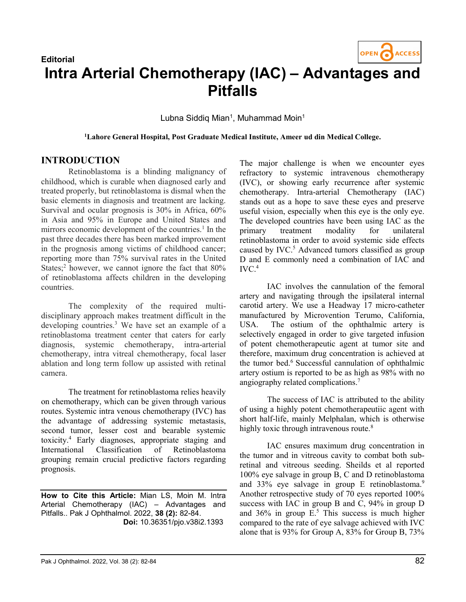

## **Editorial** Intra Arterial Chemotherapy (IAC) – Advantages and Pitfalls

Lubna Siddiq Mian<sup>1</sup>, Muhammad Moin<sup>1</sup>

<sup>1</sup>Lahore General Hospital, Post Graduate Medical Institute, Ameer ud din Medical College.

## INTRODUCTION

Retinoblastoma is a blinding malignancy of childhood, which is curable when diagnosed early and treated properly, but retinoblastoma is dismal when the basic elements in diagnosis and treatment are lacking. Survival and ocular prognosis is 30% in Africa, 60% in Asia and 95% in Europe and United States and mirrors economic development of the countries.<sup>1</sup> In the past three decades there has been marked improvement in the prognosis among victims of childhood cancer; reporting more than 75% survival rates in the United States;<sup>2</sup> however, we cannot ignore the fact that  $80\%$ of retinoblastoma affects children in the developing countries.

The complexity of the required multidisciplinary approach makes treatment difficult in the developing countries.<sup>3</sup> We have set an example of a retinoblastoma treatment center that caters for early diagnosis, systemic chemotherapy, intra-arterial chemotherapy, intra vitreal chemotherapy, focal laser ablation and long term follow up assisted with retinal camera.

The treatment for retinoblastoma relies heavily on chemotherapy, which can be given through various routes. Systemic intra venous chemotherapy (IVC) has the advantage of addressing systemic metastasis, second tumor, lesser cost and bearable systemic toxicity.<sup>4</sup> Early diagnoses, appropriate staging and International Classification of Retinoblastoma grouping remain crucial predictive factors regarding prognosis.

How to Cite this Article: Mian LS, Moin M. Intra Arterial Chemotherapy (IAC) – Advantages and Pitfalls.. Pak J Ophthalmol. 2022, 38 (2): 82-84. Doi: 10.36351/pjo.v38i2.1393

The major challenge is when we encounter eyes refractory to systemic intravenous chemotherapy (IVC), or showing early recurrence after systemic chemotherapy. Intra-arterial Chemotherapy (IAC) stands out as a hope to save these eyes and preserve useful vision, especially when this eye is the only eye. The developed countries have been using IAC as the primary treatment modality for unilateral retinoblastoma in order to avoid systemic side effects caused by IVC.<sup>5</sup> Advanced tumors classified as group D and E commonly need a combination of IAC and  $IVC<sub>4</sub>$ 

IAC involves the cannulation of the femoral artery and navigating through the ipsilateral internal carotid artery. We use a Headway 17 micro-catheter manufactured by Microvention Terumo, California, USA. The ostium of the ophthalmic artery is selectively engaged in order to give targeted infusion of potent chemotherapeutic agent at tumor site and therefore, maximum drug concentration is achieved at the tumor bed.<sup>6</sup> Successful cannulation of ophthalmic artery ostium is reported to be as high as 98% with no angiography related complications.<sup>7</sup>

The success of IAC is attributed to the ability of using a highly potent chemotherapeutiic agent with short half-life, mainly Melphalan, which is otherwise highly toxic through intravenous route.<sup>8</sup>

IAC ensures maximum drug concentration in the tumor and in vitreous cavity to combat both subretinal and vitreous seeding. Sheilds et al reported 100% eye salvage in group B, C and D retinoblastoma and 33% eye salvage in group E retinoblastoma.<sup>9</sup> Another retrospective study of 70 eyes reported 100% success with IAC in group B and C, 94% in group D and  $36\%$  in group E.<sup>5</sup> This success is much higher compared to the rate of eye salvage achieved with IVC alone that is 93% for Group A, 83% for Group B, 73%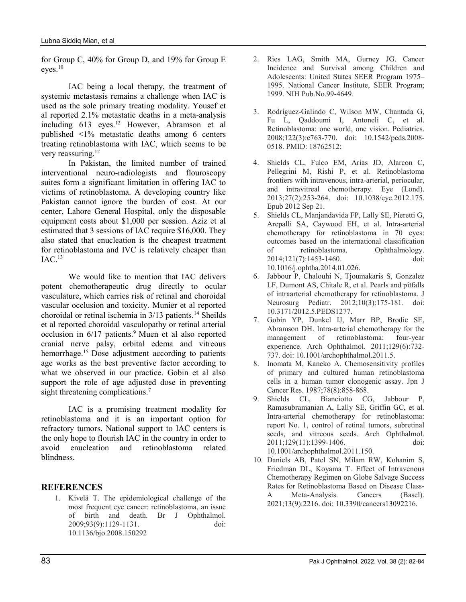for Group C, 40% for Group D, and 19% for Group E eyes.<sup>10</sup>

 IAC being a local therapy, the treatment of systemic metastasis remains a challenge when IAC is used as the sole primary treating modality. Yousef et al reported 2.1% metastatic deaths in a meta-analysis including 613 eyes.<sup>12</sup> However, Abramson et al published <1% metastatic deaths among 6 centers treating retinoblastoma with IAC, which seems to be very reassuring.<sup>12</sup>

In Pakistan, the limited number of trained interventional neuro-radiologists and flouroscopy suites form a significant limitation in offering IAC to victims of retinoblastoma. A developing country like Pakistan cannot ignore the burden of cost. At our center, Lahore General Hospital, only the disposable equipment costs about \$1,000 per session. Aziz et al estimated that 3 sessions of IAC require \$16,000. They also stated that enucleation is the cheapest treatment for retinoblastoma and IVC is relatively cheaper than  $IAC.<sup>13</sup>$ 

We would like to mention that IAC delivers potent chemotherapeutic drug directly to ocular vasculature, which carries risk of retinal and choroidal vascular occlusion and toxicity. Munier et al reported choroidal or retinal ischemia in  $3/13$  patients.<sup>14</sup> Sheilds et al reported choroidal vasculopathy or retinal arterial occlusion in 6/17 patients.<sup>9</sup> Muen et al also reported cranial nerve palsy, orbital edema and vitreous hemorrhage.<sup>15</sup> Dose adjustment according to patients age works as the best preventive factor according to what we observed in our practice. Gobin et al also support the role of age adjusted dose in preventing sight threatening complications.<sup>7</sup>

IAC is a promising treatment modality for retinoblastoma and it is an important option for refractory tumors. National support to IAC centers is the only hope to flourish IAC in the country in order to avoid enucleation and retinoblastoma related blindness.

## REFERENCES

1. Kivelä T. The epidemiological challenge of the most frequent eye cancer: retinoblastoma, an issue of birth and death. Br J Ophthalmol. 2009;93(9):1129-1131. doi: 10.1136/bjo.2008.150292

- 2. Ries LAG, Smith MA, Gurney JG. Cancer Incidence and Survival among Children and Adolescents: United States SEER Program 1975– 1995. National Cancer Institute, SEER Program; 1999. NIH Pub.No.99-4649.
- 3. Rodriguez-Galindo C, Wilson MW, Chantada G, Fu L, Qaddoumi I, Antoneli C, et al. Retinoblastoma: one world, one vision. Pediatrics. 2008;122(3):e763-770. doi: 10.1542/peds.2008- 0518. PMID: 18762512;
- 4. Shields CL, Fulco EM, Arias JD, Alarcon C, Pellegrini M, Rishi P, et al. Retinoblastoma frontiers with intravenous, intra-arterial, periocular, and intravitreal chemotherapy. Eye (Lond). 2013;27(2):253-264. doi: 10.1038/eye.2012.175. Epub 2012 Sep 21.
- 5. Shields CL, Manjandavida FP, Lally SE, Pieretti G, Arepalli SA, Caywood EH, et al. Intra-arterial chemotherapy for retinoblastoma in 70 eyes: outcomes based on the international classification of retinoblastoma. Ophthalmology. 2014;121(7):1453-1460. doi: 10.1016/j.ophtha.2014.01.026.
- 6. Jabbour P, Chalouhi N, Tjoumakaris S, Gonzalez LF, Dumont AS, Chitale R, et al. Pearls and pitfalls of intraarterial chemotherapy for retinoblastoma. J Neurosurg Pediatr. 2012;10(3):175-181. doi: 10.3171/2012.5.PEDS1277.
- 7. Gobin YP, Dunkel IJ, Marr BP, Brodie SE, Abramson DH. Intra-arterial chemotherapy for the management of retinoblastoma: four-year experience. Arch Ophthalmol. 2011;129(6):732- 737. doi: 10.1001/archophthalmol.2011.5.
- 8. Inomata M, Kaneko A. Chemosensitivity profiles of primary and cultured human retinoblastoma cells in a human tumor clonogenic assay. Jpn J Cancer Res. 1987;78(8):858-868.
- 9. Shields CL, Bianciotto CG, Jabbour P, Ramasubramanian A, Lally SE, Griffin GC, et al. Intra-arterial chemotherapy for retinoblastoma: report No. 1, control of retinal tumors, subretinal seeds, and vitreous seeds. Arch Ophthalmol. 2011;129(11):1399-1406. doi: 10.1001/archophthalmol.2011.150.
- 10. Daniels AB, Patel SN, Milam RW, Kohanim S, Friedman DL, Koyama T. Effect of Intravenous Chemotherapy Regimen on Globe Salvage Success Rates for Retinoblastoma Based on Disease Class-A Meta-Analysis. Cancers (Basel). 2021;13(9):2216. doi: 10.3390/cancers13092216.